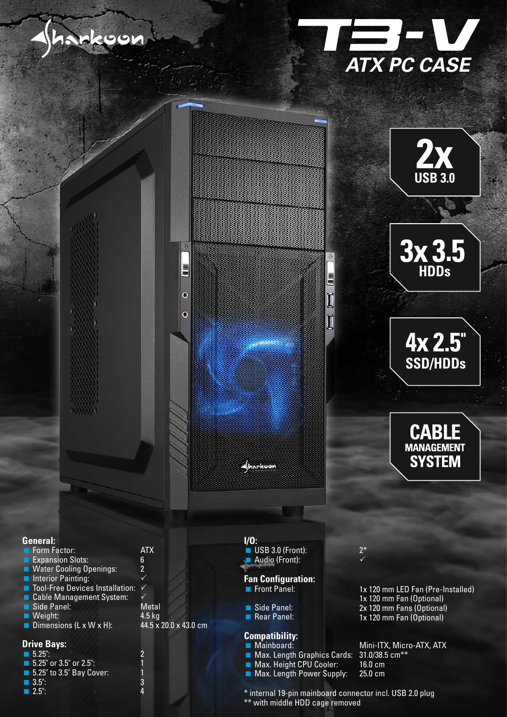







## **General:**

| Form Factor:                         | ATX                   |
|--------------------------------------|-----------------------|
| Expansion Slots:                     | 6                     |
| <b>NAMEL Water Cooling Openings:</b> | $\overline{2}$        |
| Interior Painting:                   |                       |
| ■ Tool-Free Devices Installation:    |                       |
| Cable Management System:             |                       |
| Side Panel:                          | Metal                 |
| $\blacksquare$ Weight:               | $4.5$ kg              |
| Dimensions (L x $\overline{W}$ x H): | 44.5 x 20.0 x 43.0 cm |
|                                      |                       |
|                                      |                       |

#### **Drive Bays:**

| $\blacksquare$ 5.25":                   |
|-----------------------------------------|
| <b>5.25</b> or $3.5$ or $2.5$ ":        |
| $\blacksquare$ 5.25" to 3.5" Bay Cover: |
| $\Box$ 3.5":                            |
| $\Box$ 2.5":                            |

## **Fan Configuration:** Front Panel: **I/O:** USB 3.0 (Front): Audio (Front):

 $\circ$ 

 $\circ$ 

Side Panel:

Aharkoon

Rear Panel:

### **Compatibility:**

- **Mainboard:**
- **Max. Length Graphics Cards:**
- **Max. Height CPU Cooler:**
- Max. Length Power Supply:

#### 2\*  $\checkmark$

E

1x 120 mm LED Fan (Pre-Installed)

- 1x 120 mm Fan (Optional)
- 2x 120 mm Fans (Optional)
- 1x 120 mm Fan (Optional)

Mini-ITX, Micro-ATX, ATX 31.0/38.5 cm\*\* 16.0 cm 25.0 cm

\* internal 19-pin mainboard connector incl. USB 2.0 plug \*\* with middle HDD cage removed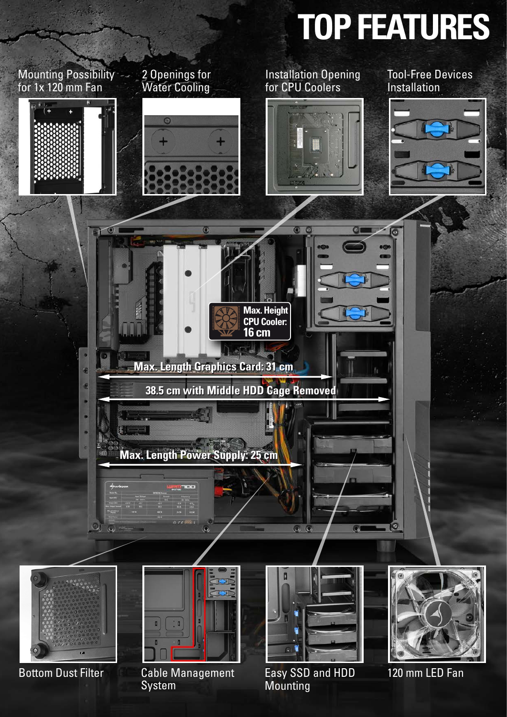



**Mounting** 

System